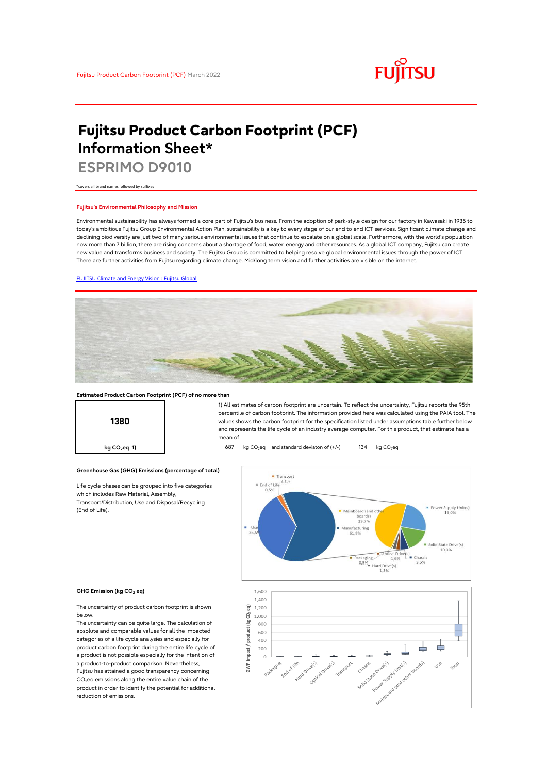

# **Fujitsu Product Carbon Footprint (PCF) Information Sheet\***

**ESPRIMO D9010**

\*covers all brand names followed by suffixes

## **Fujitsu's Environmental Philosophy and Mission**

Environmental sustainability has always formed a core part of Fujitsu's business. From the adoption of park-style design for our factory in Kawasaki in 1935 to today's ambitious Fujitsu Group Environmental Action Plan, sustainability is a key to every stage of our end to end ICT services. Significant climate change and declining biodiversity are just two of many serious environmental issues that continue to escalate on a global scale. Furthermore, with the world's population now more than 7 billion, there are rising concerns about a shortage of food, water, energy and other resources. As a global ICT company, Fujitsu can create new value and transforms business and society. The Fujitsu Group is committed to helping resolve global environmental issues through the power of ICT. There are further activities from Fujitsu regarding climate change. Mid/long term vision and further activities are visible on the internet.

## [FUJITSU Climate and Energy Vision : Fujitsu Global](https://www.fujitsu.com/global/about/environment/climate-energy-vision/)



## **Estimated Product Carbon Footprint (PCF) of no more than**

**Greenhouse Gas (GHG) Emissions (percentage of total)**

Life cycle phases can be grouped into five categories

which includes Raw Material, Assembly, Transport/Distribution, Use and Disposal/Recycling

**1380**

1) All estimates of carbon footprint are uncertain. To reflect the uncertainty, Fujitsu reports the 95th percentile of carbon footprint. The information provided here was calculated using the PAIA tool. The values shows the carbon footprint for the specification listed under assumptions table further below and represents the life cycle of an industry average computer. For this product, that estimate has a mean of

**kg CO<sub>2</sub>eq 1) b87** kg CO<sub>2</sub>eq and standard deviaton of (+/-) 134 kg CO<sub>2</sub>eq



#### **GHG Emission (kg CO2 eq)**

(End of Life).

The uncertainty of product carbon footprint is shown below.

The uncertainty can be quite large. The calculation of absolute and comparable values for all the impacted categories of a life cycle analysies and especially for product carbon footprint during the entire life cycle of a product is not possible especially for the intention of a product-to-product comparison. Nevertheless, Fujitsu has attained a good transparency concerning  $CO<sub>2</sub>$ eq emissions along the entire value chain of the product in order to identify the potential for additional reduction of emissions.